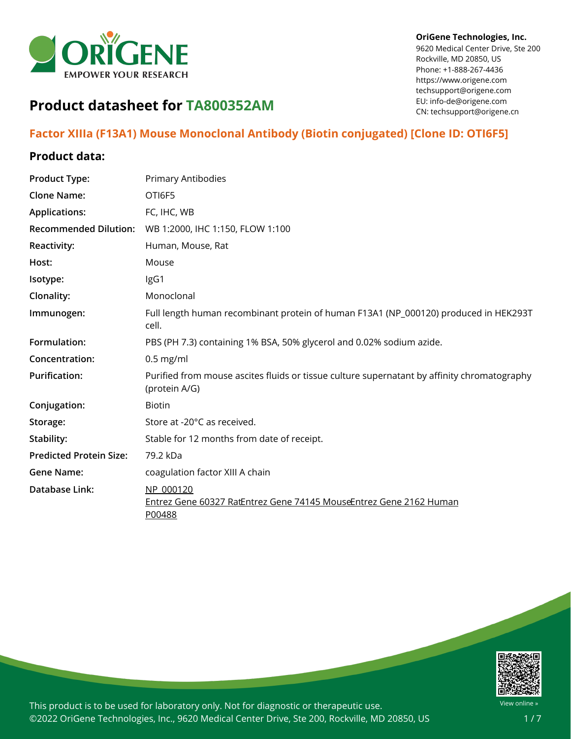

#### **OriGene Technologies, Inc.**

9620 Medical Center Drive, Ste 200 Rockville, MD 20850, US Phone: +1-888-267-4436 https://www.origene.com techsupport@origene.com EU: info-de@origene.com CN: techsupport@origene.cn

# **Product datasheet for TA800352AM**

## **Factor XIIIa (F13A1) Mouse Monoclonal Antibody (Biotin conjugated) [Clone ID: OTI6F5]**

### **Product data:**

| <b>Product Type:</b>           | <b>Primary Antibodies</b>                                                                                    |
|--------------------------------|--------------------------------------------------------------------------------------------------------------|
| <b>Clone Name:</b>             | OTI6F5                                                                                                       |
| <b>Applications:</b>           | FC, IHC, WB                                                                                                  |
| <b>Recommended Dilution:</b>   | WB 1:2000, IHC 1:150, FLOW 1:100                                                                             |
| <b>Reactivity:</b>             | Human, Mouse, Rat                                                                                            |
| Host:                          | Mouse                                                                                                        |
| Isotype:                       | IgG1                                                                                                         |
| Clonality:                     | Monoclonal                                                                                                   |
| Immunogen:                     | Full length human recombinant protein of human F13A1 (NP_000120) produced in HEK293T<br>cell.                |
| Formulation:                   | PBS (PH 7.3) containing 1% BSA, 50% glycerol and 0.02% sodium azide.                                         |
| Concentration:                 | $0.5$ mg/ml                                                                                                  |
| <b>Purification:</b>           | Purified from mouse ascites fluids or tissue culture supernatant by affinity chromatography<br>(protein A/G) |
| Conjugation:                   | <b>Biotin</b>                                                                                                |
| Storage:                       | Store at -20°C as received.                                                                                  |
| Stability:                     | Stable for 12 months from date of receipt.                                                                   |
| <b>Predicted Protein Size:</b> | 79.2 kDa                                                                                                     |
| <b>Gene Name:</b>              | coagulation factor XIII A chain                                                                              |
| Database Link:                 | NP 000120<br>Entrez Gene 60327 RatEntrez Gene 74145 MouseEntrez Gene 2162 Human<br>P00488                    |

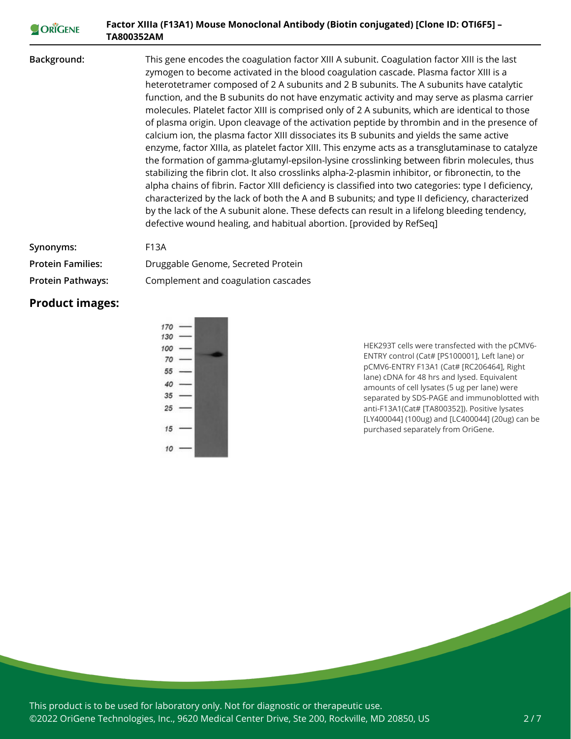#### **Factor XIIIa (F13A1) Mouse Monoclonal Antibody (Biotin conjugated) [Clone ID: OTI6F5] –** ORIGENE **TA800352AM**

**Background:** This gene encodes the coagulation factor XIII A subunit. Coagulation factor XIII is the last zymogen to become activated in the blood coagulation cascade. Plasma factor XIII is a heterotetramer composed of 2 A subunits and 2 B subunits. The A subunits have catalytic function, and the B subunits do not have enzymatic activity and may serve as plasma carrier molecules. Platelet factor XIII is comprised only of 2 A subunits, which are identical to those of plasma origin. Upon cleavage of the activation peptide by thrombin and in the presence of calcium ion, the plasma factor XIII dissociates its B subunits and yields the same active enzyme, factor XIIIa, as platelet factor XIII. This enzyme acts as a transglutaminase to catalyze the formation of gamma-glutamyl-epsilon-lysine crosslinking between fibrin molecules, thus stabilizing the fibrin clot. It also crosslinks alpha-2-plasmin inhibitor, or fibronectin, to the alpha chains of fibrin. Factor XIII deficiency is classified into two categories: type I deficiency, characterized by the lack of both the A and B subunits; and type II deficiency, characterized by the lack of the A subunit alone. These defects can result in a lifelong bleeding tendency, defective wound healing, and habitual abortion. [provided by RefSeq]

| Synonyms:                | F13A                                |
|--------------------------|-------------------------------------|
| <b>Protein Families:</b> | Druggable Genome, Secreted Protein  |
| <b>Protein Pathways:</b> | Complement and coagulation cascades |

#### **Product images:**



HEK293T cells were transfected with the pCMV6- ENTRY control (Cat# [PS100001], Left lane) or pCMV6-ENTRY F13A1 (Cat# [RC206464], Right lane) cDNA for 48 hrs and lysed. Equivalent amounts of cell lysates (5 ug per lane) were separated by SDS-PAGE and immunoblotted with anti-F13A1(Cat# [TA800352]). Positive lysates [LY400044] (100ug) and [LC400044] (20ug) can be purchased separately from OriGene.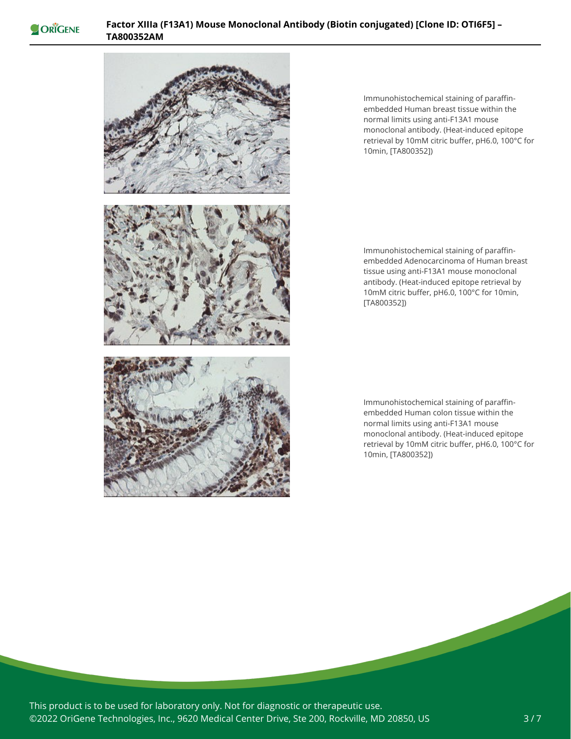



Immunohistochemical staining of paraffinembedded Human breast tissue within the normal limits using anti-F13A1 mouse monoclonal antibody. (Heat-induced epitope retrieval by 10mM citric buffer, pH6.0, 100°C for 10min, [TA800352])

Immunohistochemical staining of paraffinembedded Adenocarcinoma of Human breast tissue using anti-F13A1 mouse monoclonal antibody. (Heat-induced epitope retrieval by 10mM citric buffer, pH6.0, 100°C for 10min, [TA800352])

Immunohistochemical staining of paraffinembedded Human colon tissue within the normal limits using anti-F13A1 mouse monoclonal antibody. (Heat-induced epitope retrieval by 10mM citric buffer, pH6.0, 100°C for 10min, [TA800352])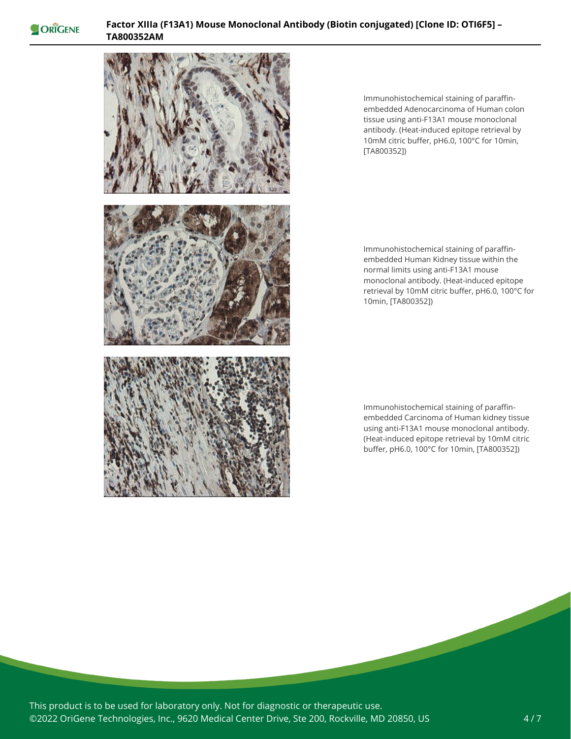



Immunohistochemical staining of paraffinembedded Adenocarcinoma of Human colon tissue using anti-F13A1 mouse monoclonal antibody. (Heat-induced epitope retrieval by 10mM citric buffer, pH6.0, 100°C for 10min, [TA800352])

Immunohistochemical staining of paraffinembedded Human Kidney tissue within the normal limits using anti-F13A1 mouse monoclonal antibody. (Heat-induced epitope retrieval by 10mM citric buffer, pH6.0, 100°C for 10min, [TA800352])

Immunohistochemical staining of paraffinembedded Carcinoma of Human kidney tissue using anti-F13A1 mouse monoclonal antibody. (Heat-induced epitope retrieval by 10mM citric buffer, pH6.0, 100°C for 10min, [TA800352])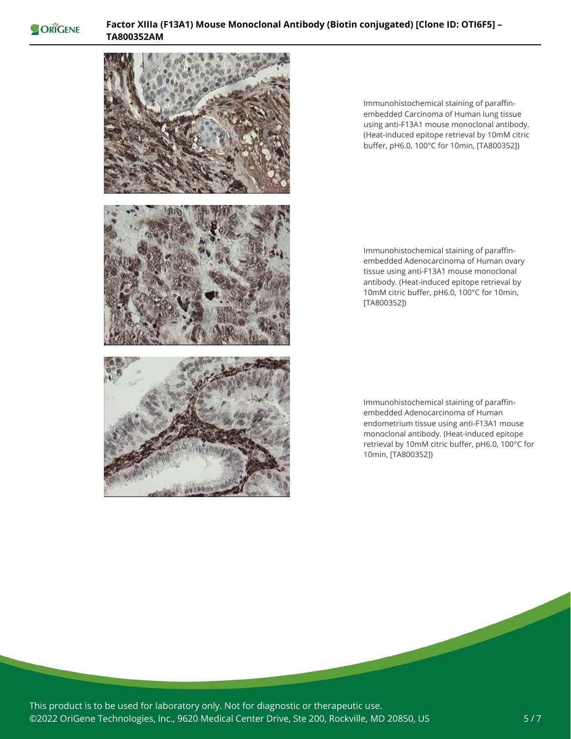



Immunohistochemical staining of paraffinembedded Carcinoma of Human lung tissue using anti-F13A1 mouse monoclonal antibody. (Heat-induced epitope retrieval by 10mM citric buffer, pH6.0, 100°C for 10min, [TA800352])

Immunohistochemical staining of paraffinembedded Adenocarcinoma of Human ovary tissue using anti-F13A1 mouse monoclonal antibody. (Heat-induced epitope retrieval by 10mM citric buffer, pH6.0, 100°C for 10min, [TA800352])

Immunohistochemical staining of paraffinembedded Adenocarcinoma of Human endometrium tissue using anti-F13A1 mouse monoclonal antibody. (Heat-induced epitope retrieval by 10mM citric buffer, pH6.0, 100°C for 10min, [TA800352])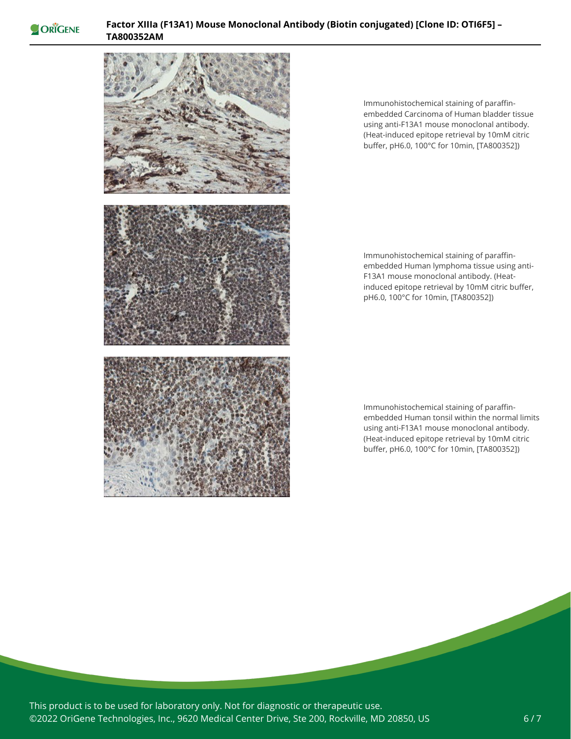



Immunohistochemical staining of paraffinembedded Carcinoma of Human bladder tissue using anti-F13A1 mouse monoclonal antibody. (Heat-induced epitope retrieval by 10mM citric buffer, pH6.0, 100°C for 10min, [TA800352])

Immunohistochemical staining of paraffinembedded Human lymphoma tissue using anti-F13A1 mouse monoclonal antibody. (Heatinduced epitope retrieval by 10mM citric buffer, pH6.0, 100°C for 10min, [TA800352])

Immunohistochemical staining of paraffinembedded Human tonsil within the normal limits using anti-F13A1 mouse monoclonal antibody. (Heat-induced epitope retrieval by 10mM citric buffer, pH6.0, 100°C for 10min, [TA800352])